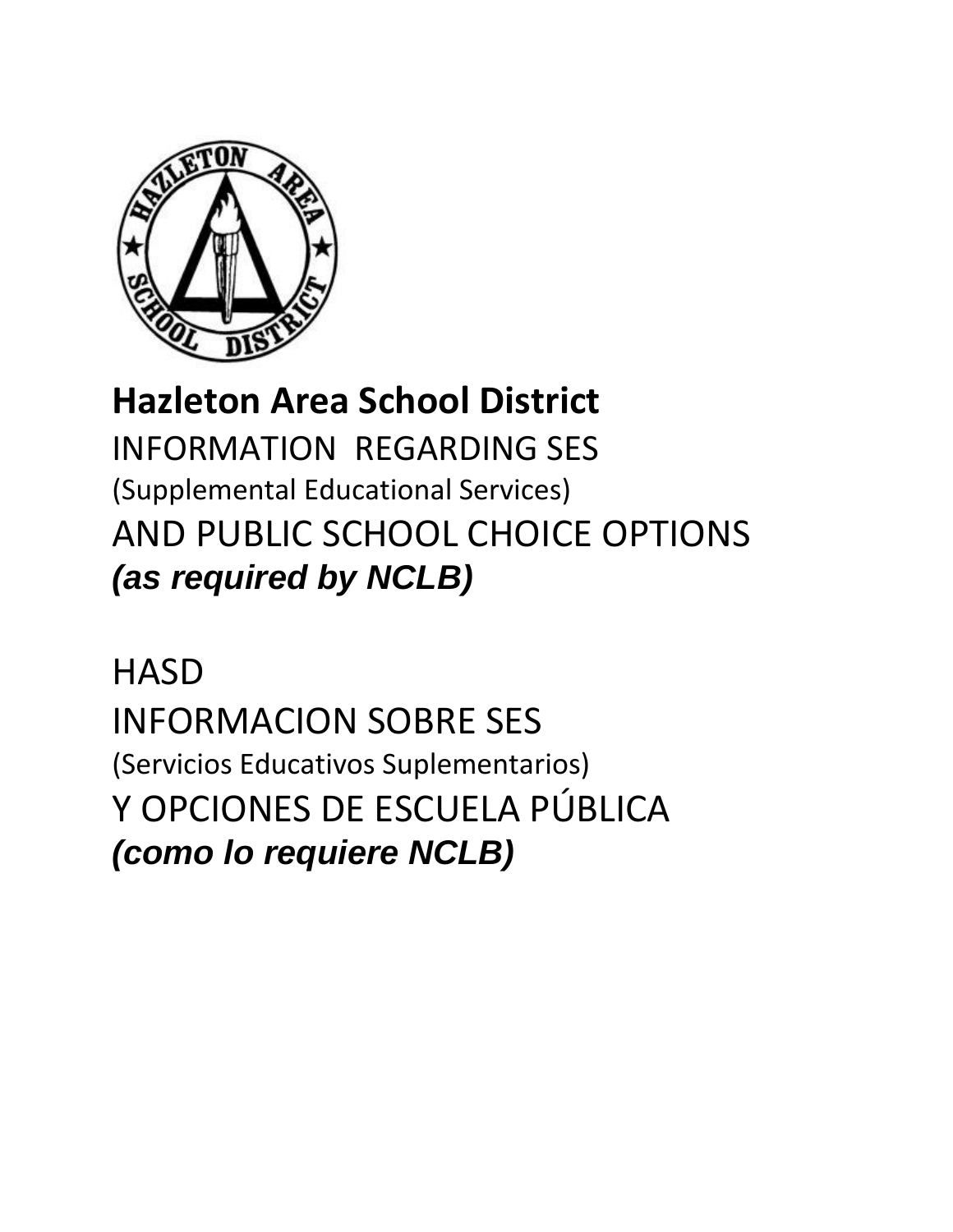

# **Hazleton Area School District**

INFORMATION REGARDING SES (Supplemental Educational Services) AND PUBLIC SCHOOL CHOICE OPTIONS *(as required by NCLB)* 

**HASD** INFORMACION SOBRE SES (Servicios Educativos Suplementarios) Y OPCIONES DE ESCUELA PÚBLICA *(como lo requiere NCLB)*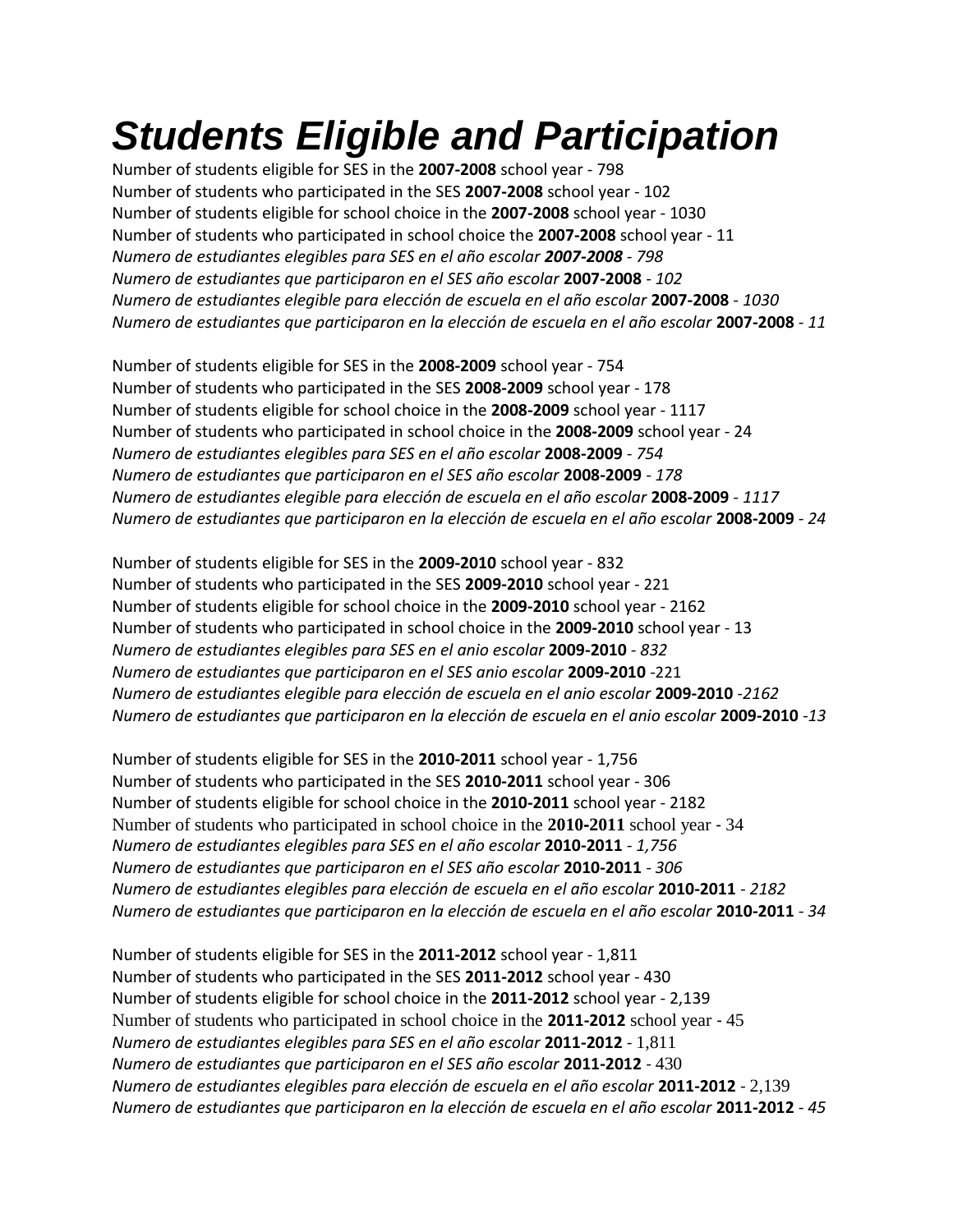# *Students Eligible and Participation*

Number of students eligible for SES in the **2007‐2008** school year ‐ 798 Number of students who participated in the SES **2007‐2008** school year ‐ 102 Number of students eligible for school choice in the **2007‐2008** school year ‐ 1030 Number of students who participated in school choice the **2007‐2008** school year ‐ 11 *Numero de estudiantes elegibles para SES en el año escolar 2007-2008 ‐ 798 Numero de estudiantes que participaron en el SES año escolar* **2007-2008** *‐ 102 Numero de estudiantes elegible para elección de escuela en el año escolar* **2007-2008** *‐ 1030 Numero de estudiantes que participaron en la elección de escuela en el año escolar* **2007-2008** *‐ 11* 

Number of students eligible for SES in the **2008‐2009** school year ‐ 754 Number of students who participated in the SES **2008‐2009** school year ‐ 178 Number of students eligible for school choice in the **2008‐2009** school year ‐ 1117 Number of students who participated in school choice in the **2008‐2009** school year ‐ 24 *Numero de estudiantes elegibles para SES en el año escolar* **2008-2009** *‐ 754 Numero de estudiantes que participaron en el SES año escolar* **2008-2009** *‐ 178 Numero de estudiantes elegible para elección de escuela en el año escolar* **2008-2009** *‐ 1117 Numero de estudiantes que participaron en la elección de escuela en el año escolar* **2008-2009** *‐ 24* 

Number of students eligible for SES in the **2009‐2010** school year ‐ 832 Number of students who participated in the SES **2009‐2010** school year ‐ 221 Number of students eligible for school choice in the **2009‐2010** school year ‐ 2162 Number of students who participated in school choice in the **2009‐2010** school year ‐ 13 *Numero de estudiantes elegibles para SES en el anio escolar* **2009-2010** *- 832 Numero de estudiantes que participaron en el SES anio escolar* **2009-2010** *-*221 *Numero de estudiantes elegible para elección de escuela en el anio escolar* **2009-2010** *-2162 Numero de estudiantes que participaron en la elección de escuela en el anio escolar* **2009-2010** *-13* 

Number of students eligible for SES in the **2010‐2011** school year ‐ 1,756 Number of students who participated in the SES **2010‐2011** school year ‐ 306 Number of students eligible for school choice in the **2010‐2011** school year ‐ 2182 Number of students who participated in school choice in the **2010**‐**2011** school year ‐ 34 *Numero de estudiantes elegibles para SES en el año escolar* **2010-2011** *‐ 1,756 Numero de estudiantes que participaron en el SES año escolar* **2010-2011** *‐ 306 Numero de estudiantes elegibles para elección de escuela en el año escolar* **2010-2011** *‐ 2182 Numero de estudiantes que participaron en la elección de escuela en el año escolar* **2010-2011** *‐ 34*

Number of students eligible for SES in the **2011‐2012** school year ‐ 1,811 Number of students who participated in the SES **2011‐2012** school year ‐ 430 Number of students eligible for school choice in the **2011‐2012** school year ‐ 2,139 Number of students who participated in school choice in the **2011-2012** school year ‐ 45 *Numero de estudiantes elegibles para SES en el año escolar* **2011-2012** *‐* 1,811 *Numero de estudiantes que participaron en el SES año escolar* **2011-2012** *‐* 430 *Numero de estudiantes elegibles para elección de escuela en el año escolar* **2011-2012** *‐* 2,139 *Numero de estudiantes que participaron en la elección de escuela en el año escolar* **2011-2012** *‐ 45*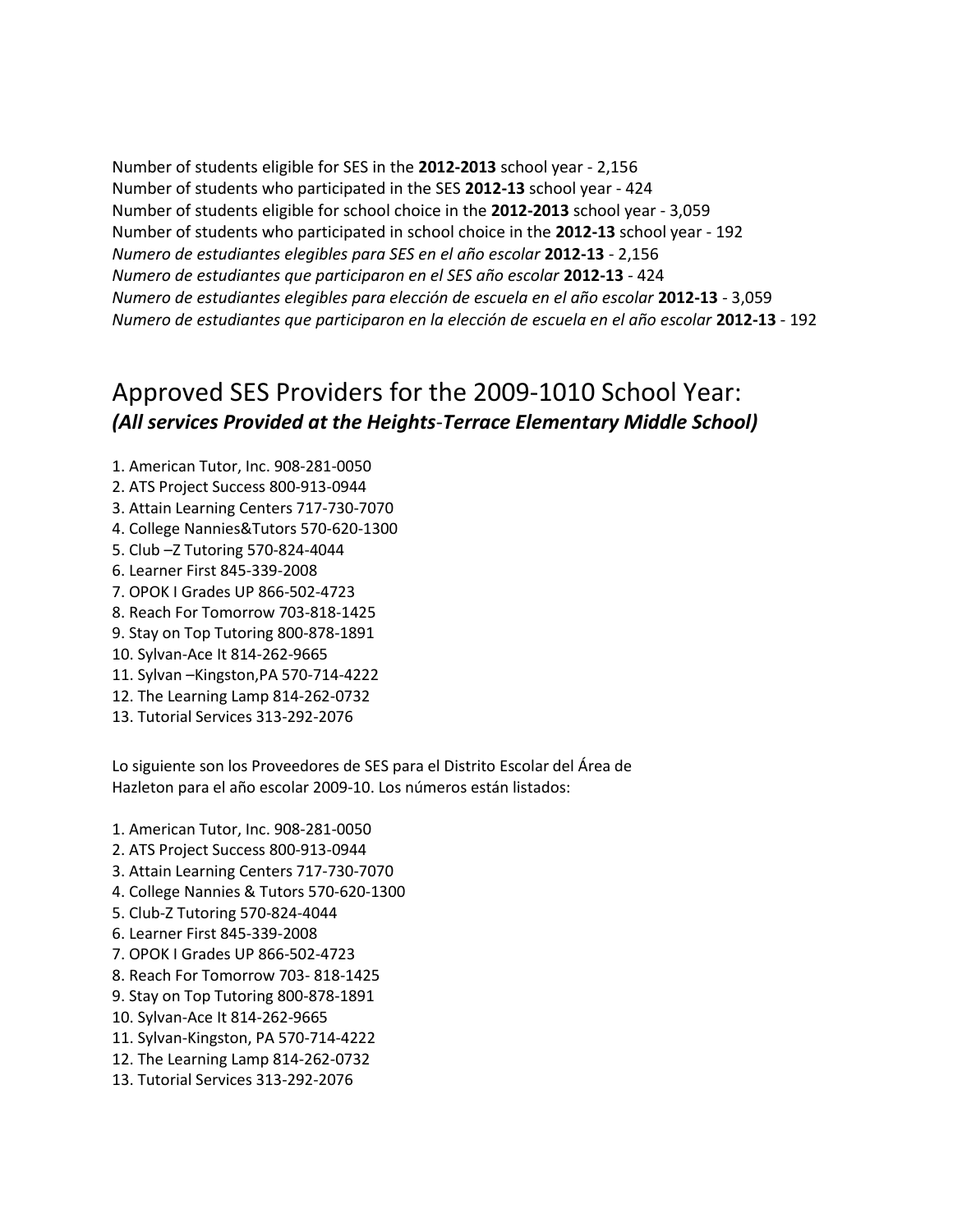Number of students eligible for SES in the **2012-2013** school year ‐ 2,156 Number of students who participated in the SES **2012-13** school year ‐ 424 Number of students eligible for school choice in the **2012‐2013** school year ‐ 3,059 Number of students who participated in school choice in the **2012-13** school year ‐ 192 *Numero de estudiantes elegibles para SES en el año escolar* **2012-13** *‐* 2,156 *Numero de estudiantes que participaron en el SES año escolar* **2012-13** *‐* 424 *Numero de estudiantes elegibles para elección de escuela en el año escolar* **2012-13** *‐* 3,059 *Numero de estudiantes que participaron en la elección de escuela en el año escolar* **2012-13** *‐* 192

### Approved SES Providers for the 2009‐1010 School Year: *(All services Provided at the Heights*‐*Terrace Elementary Middle School)*

- 1. American Tutor, Inc. 908‐281‐0050
- 2. ATS Project Success 800‐913‐0944
- 3. Attain Learning Centers 717‐730‐7070
- 4. College Nannies&Tutors 570‐620‐1300
- 5. Club –Z Tutoring 570‐824‐4044
- 6. Learner First 845‐339‐2008
- 7. OPOK I Grades UP 866‐502‐4723
- 8. Reach For Tomorrow 703‐818‐1425
- 9. Stay on Top Tutoring 800‐878‐1891
- 10. Sylvan‐Ace It 814‐262‐9665
- 11. Sylvan –Kingston,PA 570‐714‐4222
- 12. The Learning Lamp 814‐262‐0732
- 13. Tutorial Services 313‐292‐2076

Lo siguiente son los Proveedores de SES para el Distrito Escolar del Área de Hazleton para el año escolar 2009‐10. Los números están listados:

- 1. American Tutor, Inc. 908‐281‐0050
- 2. ATS Project Success 800‐913‐0944
- 3. Attain Learning Centers 717‐730‐7070
- 4. College Nannies & Tutors 570‐620‐1300
- 5. Club‐Z Tutoring 570‐824‐4044
- 6. Learner First 845‐339‐2008
- 7. OPOK I Grades UP 866‐502‐4723
- 8. Reach For Tomorrow 703‐ 818‐1425
- 9. Stay on Top Tutoring 800‐878‐1891
- 10. Sylvan‐Ace It 814‐262‐9665
- 11. Sylvan‐Kingston, PA 570‐714‐4222
- 12. The Learning Lamp 814‐262‐0732
- 13. Tutorial Services 313‐292‐2076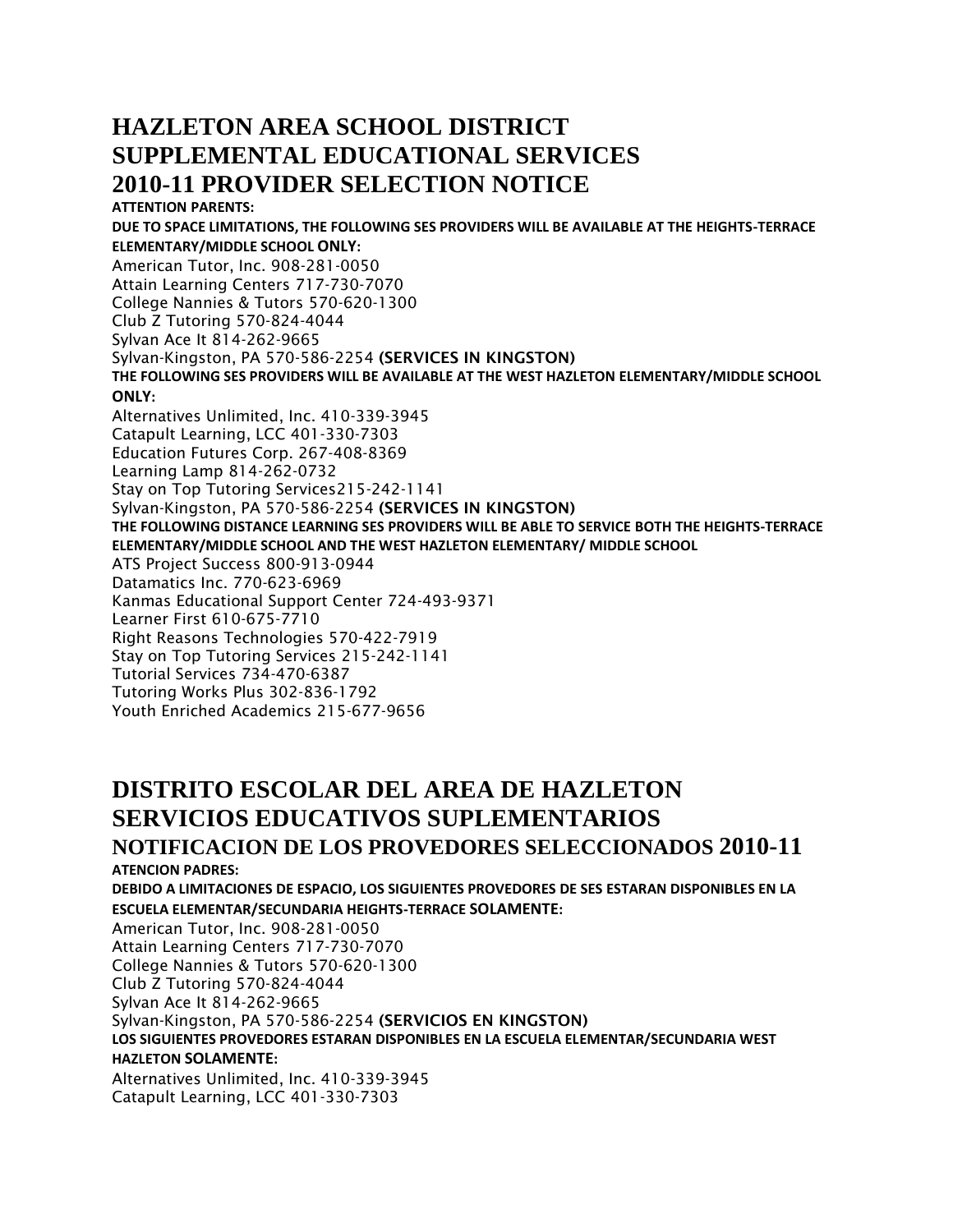### **HAZLETON AREA SCHOOL DISTRICT SUPPLEMENTAL EDUCATIONAL SERVICES 2010-11 PROVIDER SELECTION NOTICE**

**ATTENTION PARENTS: DUE TO SPACE LIMITATIONS, THE FOLLOWING SES PROVIDERS WILL BE AVAILABLE AT THE HEIGHTS-TERRACE ELEMENTARY/MIDDLE SCHOOL ONLY:**  American Tutor, Inc. 908-281-0050 Attain Learning Centers 717-730-7070 College Nannies & Tutors 570-620-1300 Club Z Tutoring 570-824-4044 Sylvan Ace It 814-262-9665 Sylvan-Kingston, PA 570-586-2254 **(SERVICES IN KINGSTON) THE FOLLOWING SES PROVIDERS WILL BE AVAILABLE AT THE WEST HAZLETON ELEMENTARY/MIDDLE SCHOOL ONLY:**  Alternatives Unlimited, Inc. 410-339-3945 Catapult Learning, LCC 401-330-7303 Education Futures Corp. 267-408-8369 Learning Lamp 814-262-0732 Stay on Top Tutoring Services215-242-1141 Sylvan-Kingston, PA 570-586-2254 **(SERVICES IN KINGSTON) THE FOLLOWING DISTANCE LEARNING SES PROVIDERS WILL BE ABLE TO SERVICE BOTH THE HEIGHTS-TERRACE ELEMENTARY/MIDDLE SCHOOL AND THE WEST HAZLETON ELEMENTARY/ MIDDLE SCHOOL**  ATS Project Success 800-913-0944 Datamatics Inc. 770-623-6969 Kanmas Educational Support Center 724-493-9371 Learner First 610-675-7710 Right Reasons Technologies 570-422-7919 Stay on Top Tutoring Services 215-242-1141 Tutorial Services 734-470-6387 Tutoring Works Plus 302-836-1792 Youth Enriched Academics 215-677-9656

## **DISTRITO ESCOLAR DEL AREA DE HAZLETON SERVICIOS EDUCATIVOS SUPLEMENTARIOS**

#### **NOTIFICACION DE LOS PROVEDORES SELECCIONADOS 2010-11 ATENCION PADRES:**

**DEBIDO A LIMITACIONES DE ESPACIO, LOS SIGUIENTES PROVEDORES DE SES ESTARAN DISPONIBLES EN LA ESCUELA ELEMENTAR/SECUNDARIA HEIGHTS-TERRACE SOLAMENTE:**  American Tutor, Inc. 908-281-0050 Attain Learning Centers 717-730-7070 College Nannies & Tutors 570-620-1300 Club Z Tutoring 570-824-4044 Sylvan Ace It 814-262-9665

Sylvan-Kingston, PA 570-586-2254 **(SERVICIOS EN KINGSTON)** 

**LOS SIGUIENTES PROVEDORES ESTARAN DISPONIBLES EN LA ESCUELA ELEMENTAR/SECUNDARIA WEST** 

#### **HAZLETON SOLAMENTE:**

Alternatives Unlimited, Inc. 410-339-3945 Catapult Learning, LCC 401-330-7303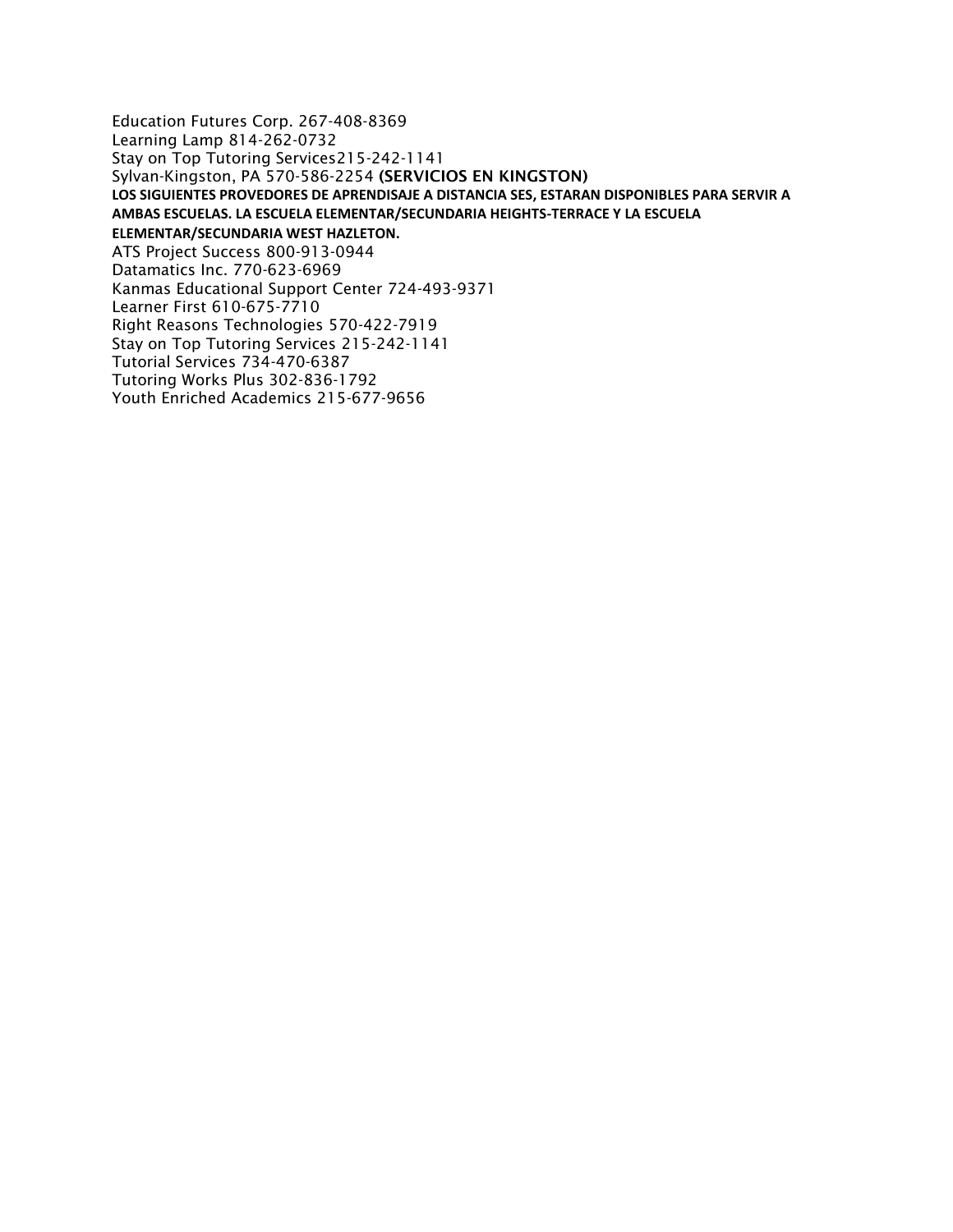Education Futures Corp. 267-408-8369 Learning Lamp 814-262-0732 Stay on Top Tutoring Services215-242-1141 Sylvan-Kingston, PA 570-586-2254 **(SERVICIOS EN KINGSTON) LOS SIGUIENTES PROVEDORES DE APRENDISAJE A DISTANCIA SES, ESTARAN DISPONIBLES PARA SERVIR A AMBAS ESCUELAS. LA ESCUELA ELEMENTAR/SECUNDARIA HEIGHTS-TERRACE Y LA ESCUELA ELEMENTAR/SECUNDARIA WEST HAZLETON.**  ATS Project Success 800-913-0944 Datamatics Inc. 770-623-6969 Kanmas Educational Support Center 724-493-9371 Learner First 610-675-7710 Right Reasons Technologies 570-422-7919 Stay on Top Tutoring Services 215-242-1141 Tutorial Services 734-470-6387 Tutoring Works Plus 302-836-1792 Youth Enriched Academics 215-677-9656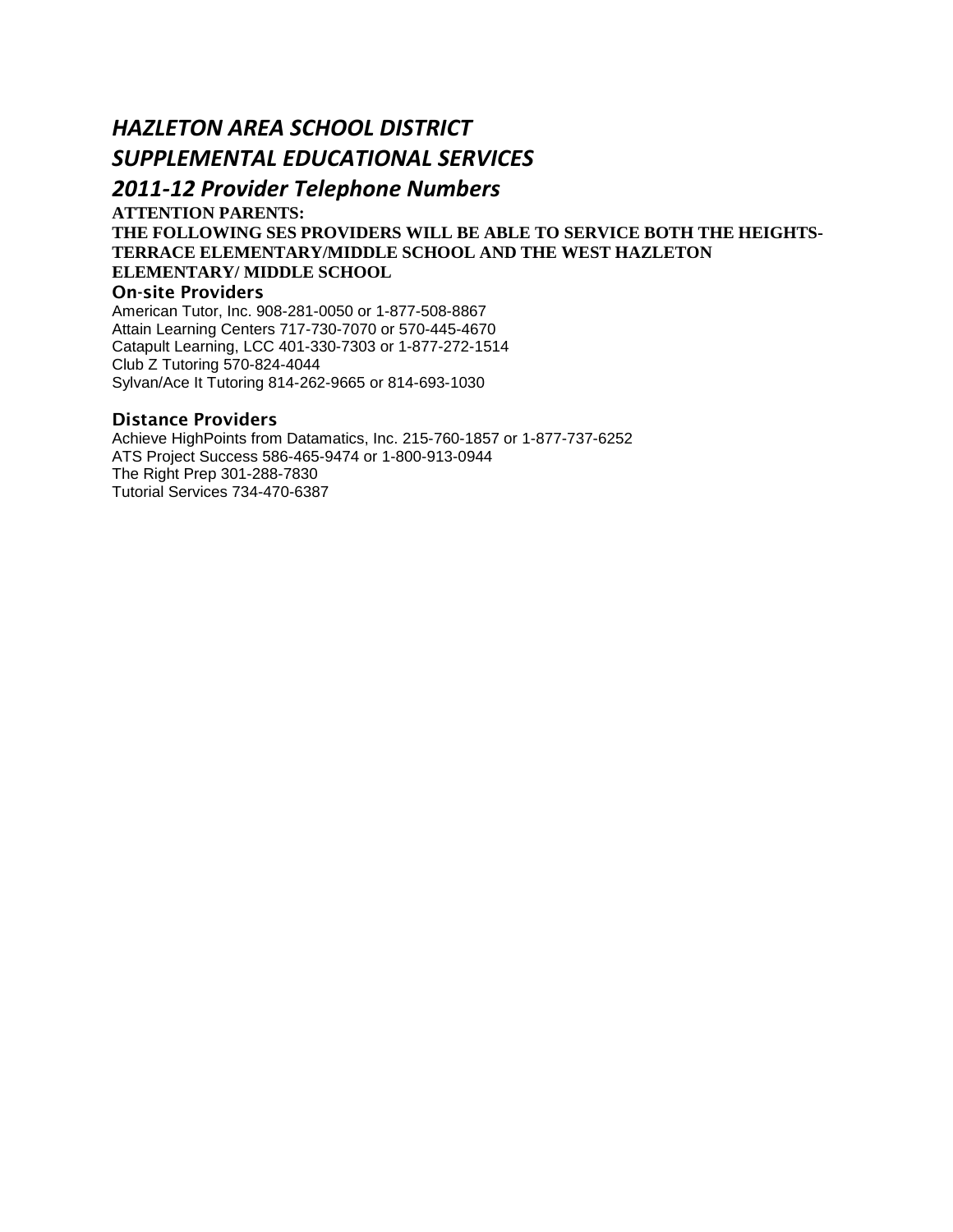### *HAZLETON AREA SCHOOL DISTRICT SUPPLEMENTAL EDUCATIONAL SERVICES*

### *2011-12 Provider Telephone Numbers*

**ATTENTION PARENTS:** 

#### **THE FOLLOWING SES PROVIDERS WILL BE ABLE TO SERVICE BOTH THE HEIGHTS-TERRACE ELEMENTARY/MIDDLE SCHOOL AND THE WEST HAZLETON ELEMENTARY/ MIDDLE SCHOOL**

#### **On-site Providers**

American Tutor, Inc. 908-281-0050 or 1-877-508-8867 Attain Learning Centers 717-730-7070 or 570-445-4670 Catapult Learning, LCC 401-330-7303 or 1-877-272-1514 Club Z Tutoring 570-824-4044 Sylvan/Ace It Tutoring 814-262-9665 or 814-693-1030

#### **Distance Providers**

Achieve HighPoints from Datamatics, Inc. 215-760-1857 or 1-877-737-6252 ATS Project Success 586-465-9474 or 1-800-913-0944 The Right Prep 301-288-7830 Tutorial Services 734-470-6387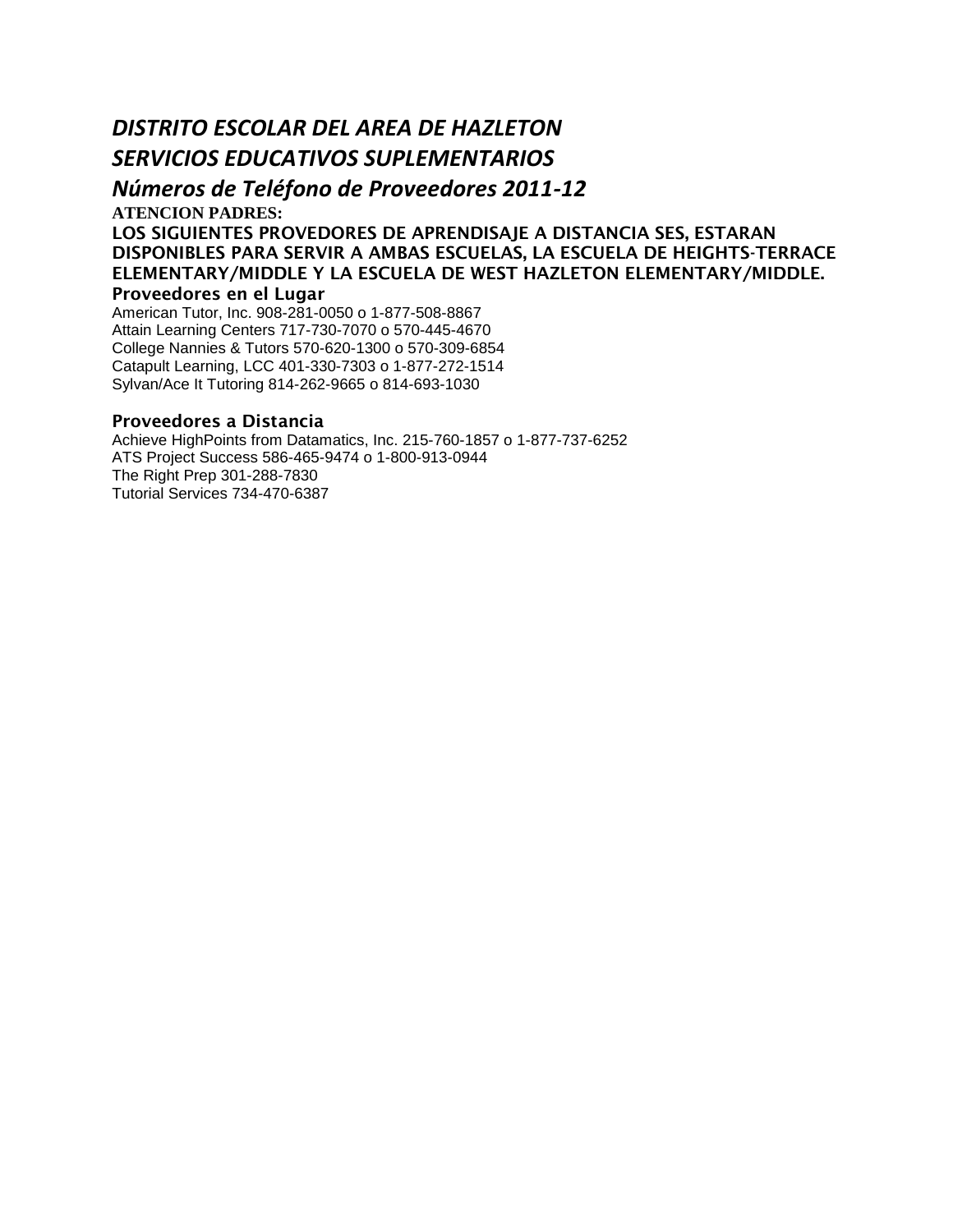#### *DISTRITO ESCOLAR DEL AREA DE HAZLETON SERVICIOS EDUCATIVOS SUPLEMENTARIOS*

*Números de Teléfono de Proveedores 2011-12* 

**ATENCION PADRES:** 

**LOS SIGUIENTES PROVEDORES DE APRENDISAJE A DISTANCIA SES, ESTARAN DISPONIBLES PARA SERVIR A AMBAS ESCUELAS, LA ESCUELA DE HEIGHTS-TERRACE ELEMENTARY/MIDDLE Y LA ESCUELA DE WEST HAZLETON ELEMENTARY/MIDDLE. Proveedores en el Lugar** 

American Tutor, Inc. 908-281-0050 o 1-877-508-8867 Attain Learning Centers 717-730-7070 o 570-445-4670 College Nannies & Tutors 570-620-1300 o 570-309-6854 Catapult Learning, LCC 401-330-7303 o 1-877-272-1514 Sylvan/Ace It Tutoring 814-262-9665 o 814-693-1030

#### **Proveedores a Distancia**

Achieve HighPoints from Datamatics, Inc. 215-760-1857 o 1-877-737-6252 ATS Project Success 586-465-9474 o 1-800-913-0944 The Right Prep 301-288-7830 Tutorial Services 734-470-6387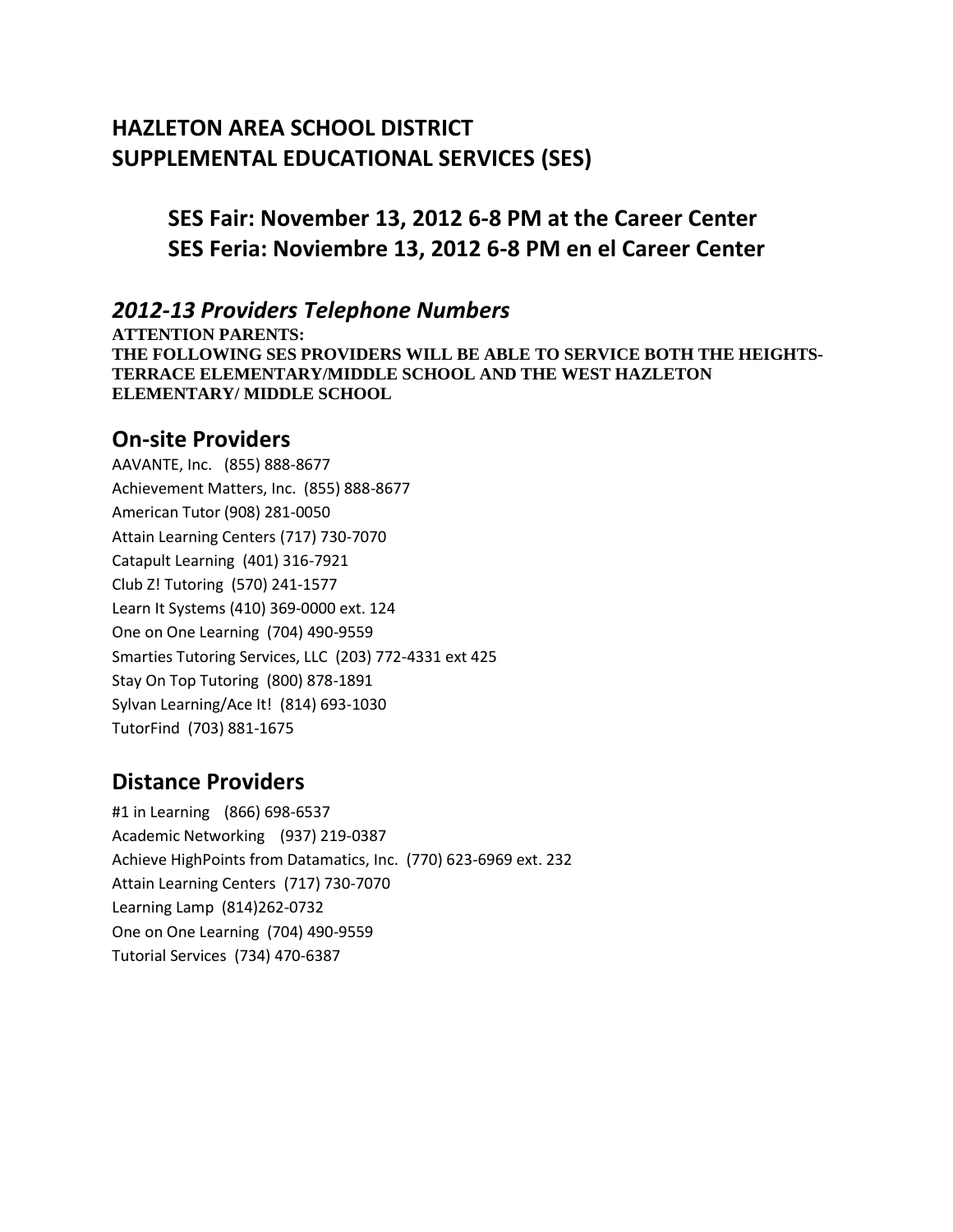### **HAZLETON AREA SCHOOL DISTRICT SUPPLEMENTAL EDUCATIONAL SERVICES (SES)**

### **SES Fair: November 13, 2012 6-8 PM at the Career Center SES Feria: Noviembre 13, 2012 6-8 PM en el Career Center**

#### *2012-13 Providers Telephone Numbers*

**ATTENTION PARENTS: THE FOLLOWING SES PROVIDERS WILL BE ABLE TO SERVICE BOTH THE HEIGHTS-TERRACE ELEMENTARY/MIDDLE SCHOOL AND THE WEST HAZLETON ELEMENTARY/ MIDDLE SCHOOL** 

#### **On-site Providers**

AAVANTE, Inc. (855) 888-8677 Achievement Matters, Inc. (855) 888-8677 American Tutor (908) 281-0050 Attain Learning Centers (717) 730-7070 Catapult Learning (401) 316-7921 Club Z! Tutoring (570) 241-1577 Learn It Systems (410) 369-0000 ext. 124 One on One Learning (704) 490-9559 Smarties Tutoring Services, LLC (203) 772-4331 ext 425 Stay On Top Tutoring (800) 878-1891 Sylvan Learning/Ace It! (814) 693-1030 TutorFind (703) 881-1675

#### **Distance Providers**

#1 in Learning (866) 698-6537 Academic Networking (937) 219-0387 Achieve HighPoints from Datamatics, Inc. (770) 623-6969 ext. 232 Attain Learning Centers (717) 730-7070 Learning Lamp (814)262-0732 One on One Learning (704) 490-9559 Tutorial Services (734) 470-6387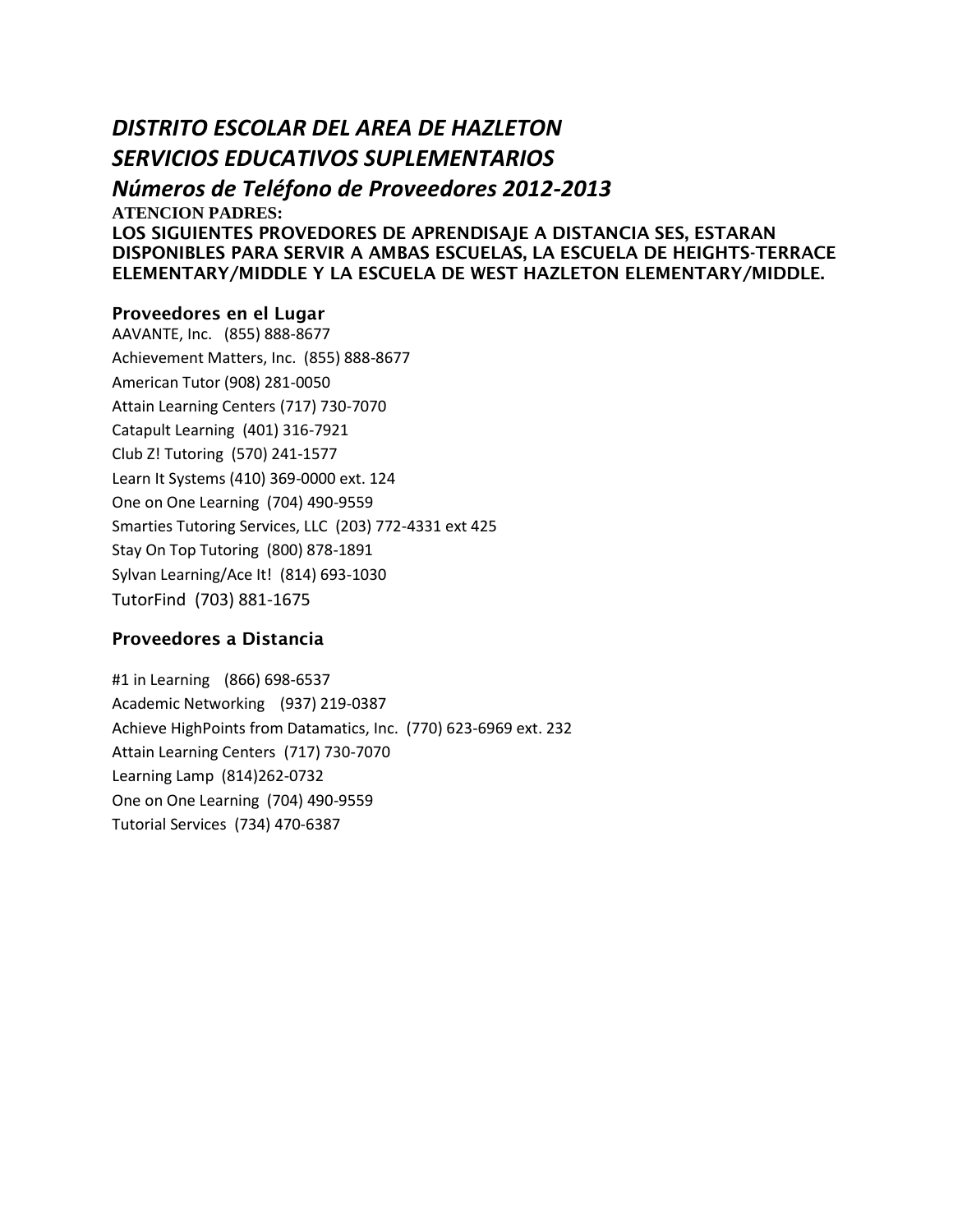#### *DISTRITO ESCOLAR DEL AREA DE HAZLETON SERVICIOS EDUCATIVOS SUPLEMENTARIOS*

*Números de Teléfono de Proveedores 2012-2013*  **ATENCION PADRES: LOS SIGUIENTES PROVEDORES DE APRENDISAJE A DISTANCIA SES, ESTARAN DISPONIBLES PARA SERVIR A AMBAS ESCUELAS, LA ESCUELA DE HEIGHTS-TERRACE ELEMENTARY/MIDDLE Y LA ESCUELA DE WEST HAZLETON ELEMENTARY/MIDDLE.** 

#### **Proveedores en el Lugar**

AAVANTE, Inc. (855) 888-8677 Achievement Matters, Inc. (855) 888-8677 American Tutor (908) 281-0050 Attain Learning Centers (717) 730-7070 Catapult Learning (401) 316-7921 Club Z! Tutoring (570) 241-1577 Learn It Systems (410) 369-0000 ext. 124 One on One Learning (704) 490-9559 Smarties Tutoring Services, LLC (203) 772-4331 ext 425 Stay On Top Tutoring (800) 878-1891 Sylvan Learning/Ace It! (814) 693-1030 TutorFind (703) 881-1675

#### **Proveedores a Distancia**

#1 in Learning (866) 698-6537 Academic Networking (937) 219-0387 Achieve HighPoints from Datamatics, Inc. (770) 623-6969 ext. 232 Attain Learning Centers (717) 730-7070 Learning Lamp (814)262-0732 One on One Learning (704) 490-9559 Tutorial Services (734) 470-6387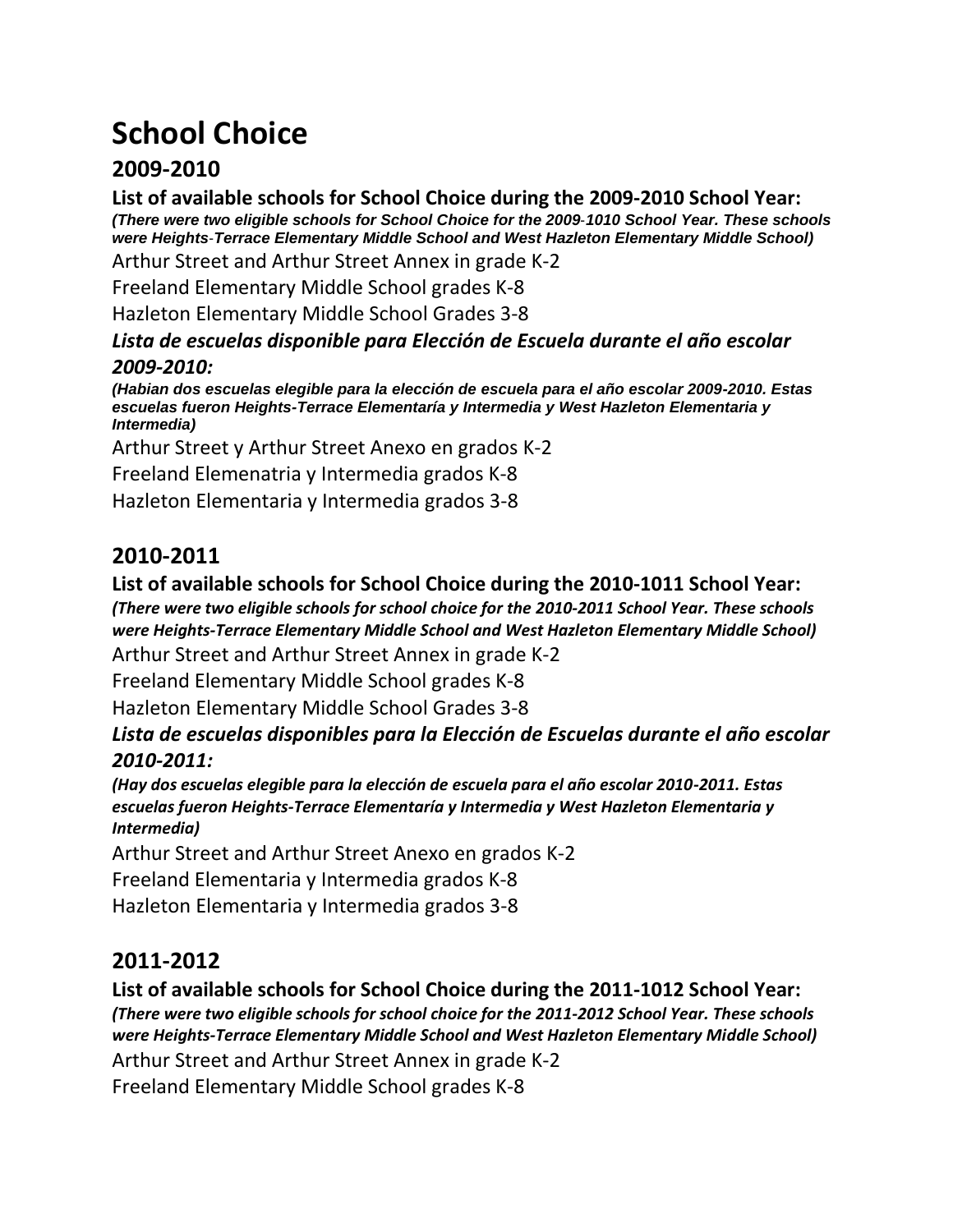# **School Choice**

### **2009-2010**

**List of available schools for School Choice during the 2009‐2010 School Year:**  *(There were two eligible schools for School Choice for the 2009*‐*1010 School Year. These schools were Heights*‐*Terrace Elementary Middle School and West Hazleton Elementary Middle School)* 

Arthur Street and Arthur Street Annex in grade K‐2

Freeland Elementary Middle School grades K‐8

Hazleton Elementary Middle School Grades 3‐8

#### *Lista de escuelas disponible para Elección de Escuela durante el año escolar 2009-2010:*

*(Habian dos escuelas elegible para la elección de escuela para el año escolar 2009-2010. Estas escuelas fueron Heights-Terrace Elementaría y Intermedia y West Hazleton Elementaria y Intermedia)* 

Arthur Street y Arthur Street Anexo en grados K‐2

Freeland Elemenatria y Intermedia grados K‐8

Hazleton Elementaria y Intermedia grados 3‐8

## **2010-2011**

#### **List of available schools for School Choice during the 2010‐1011 School Year:**

*(There were two eligible schools for school choice for the 2010-2011 School Year. These schools were Heights‐Terrace Elementary Middle School and West Hazleton Elementary Middle School)* 

Arthur Street and Arthur Street Annex in grade K‐2

Freeland Elementary Middle School grades K‐8

Hazleton Elementary Middle School Grades 3‐8

*Lista de escuelas disponibles para la Elección de Escuelas durante el año escolar 2010-2011:* 

*(Hay dos escuelas elegible para la elección de escuela para el año escolar 2010-2011. Estas escuelas fueron Heights-Terrace Elementaría y Intermedia y West Hazleton Elementaria y Intermedia)* 

Arthur Street and Arthur Street Anexo en grados K‐2

Freeland Elementaria y Intermedia grados K‐8

Hazleton Elementaria y Intermedia grados 3‐8

## **2011-2012**

**List of available schools for School Choice during the 2011‐1012 School Year:**  *(There were two eligible schools for school choice for the 2011-2012 School Year. These schools were Heights‐Terrace Elementary Middle School and West Hazleton Elementary Middle School)*  Arthur Street and Arthur Street Annex in grade K‐2 Freeland Elementary Middle School grades K‐8